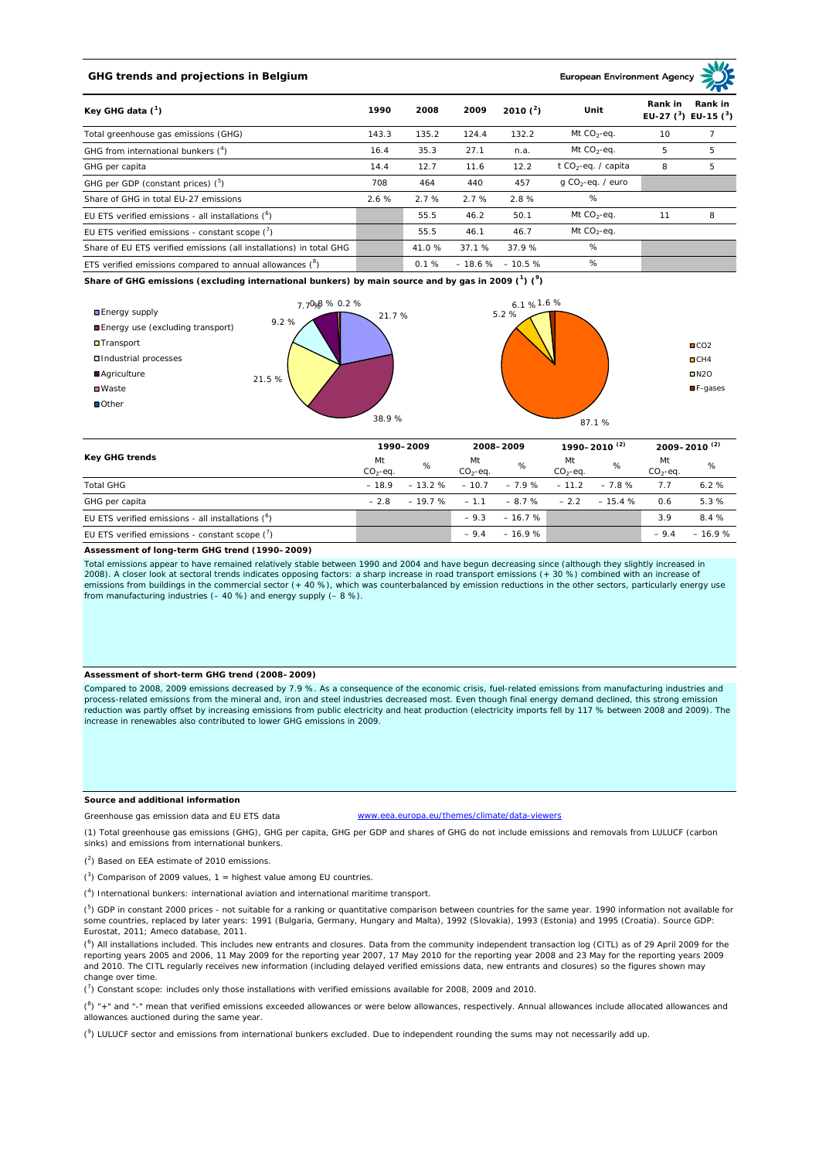# **GHG trends and projections in Belgium**

**European Environment Ag** 

| Key GHG data $(^1)$                                                 |       | 2008  | 2009   | 2010 $(^{2})$      | Unit                            | Rank in<br>Rank in<br>EU-27 $(^3)$ EU-15 $(^3)$ |   |
|---------------------------------------------------------------------|-------|-------|--------|--------------------|---------------------------------|-------------------------------------------------|---|
| Total greenhouse gas emissions (GHG)                                | 143.3 | 135.2 | 124.4  | 132.2              | Mt $CO2$ -eq.                   | 10                                              |   |
| GHG from international bunkers $(^4)$                               | 16.4  | 35.3  | 27.1   | n.a.               | Mt $CO_2$ -eq.                  | 5                                               | 5 |
| GHG per capita                                                      | 14.4  | 12.7  | 11.6   | 12.2               | t CO <sub>2</sub> -eq. / capita | 8                                               | 5 |
| GHG per GDP (constant prices) $(^5)$                                | 708   | 464   | 440    | 457                | $q$ CO <sub>2</sub> -eq. / euro |                                                 |   |
| Share of GHG in total EU-27 emissions                               | 2.6%  | 2.7%  | 2.7%   | 2.8%               | %                               |                                                 |   |
| EU ETS verified emissions - all installations $(^6)$                |       | 55.5  | 46.2   | 50.1               | Mt $CO_2$ -eq.                  | 11                                              | 8 |
| EU ETS verified emissions - constant scope $(7)$                    |       | 55.5  | 46.1   | 46.7               | Mt $CO_2$ -eq.                  |                                                 |   |
| Share of EU ETS verified emissions (all installations) in total GHG |       | 41.0% | 37.1 % | 37.9%              | %                               |                                                 |   |
| ETS verified emissions compared to annual allowances $(^8)$         |       | 0.1%  |        | $-18.6\% - 10.5\%$ | %                               |                                                 |   |

**Share of GHG emissions (excluding international bunkers) by main source and by gas in 2009 (<sup>1</sup> ) (<sup>9</sup> )**



| Key GHG trends                                       |                 | 1990-2009 |                  | 2008-2009      |                 | 1990-2010 <sup>(2)</sup> |                 | 2009-2010 <sup>(2)</sup> |  |
|------------------------------------------------------|-----------------|-----------|------------------|----------------|-----------------|--------------------------|-----------------|--------------------------|--|
|                                                      | Mt<br>$CO2-eq.$ | %         | Mt<br>$CO2-ea$ . | %              | Mt<br>$CO2-ea.$ | %                        | Mt<br>$CO2-eq.$ | %                        |  |
| <b>Total GHG</b>                                     | $-18.9$         | $-13.2%$  | $-10.7$          | $-7.9\% -11.2$ |                 | $-7.8%$                  | 7.7             | 6.2%                     |  |
| GHG per capita                                       | $-2.8$          | $-19.7%$  | $-1.1$           | $-8.7%$        | $-2.2$          | $-15.4%$                 | 0.6             | 5.3%                     |  |
| EU ETS verified emissions - all installations $(^6)$ |                 |           | $-9.3$           | $-16.7%$       |                 |                          | 3.9             | 8.4 %                    |  |
| EU ETS verified emissions - constant scope $(7)$     |                 |           | $-9.4$           | $-16.9%$       |                 |                          | $-9.4$          | $-16.9%$                 |  |

#### **Assessment of long-term GHG trend (1990–2009)**

Total emissions appear to have remained relatively stable between 1990 and 2004 and have begun decreasing since (although they slightly increased in 2008). A closer look at sectoral trends indicates opposing factors: a sharp increase in road transport emissions (+ 30 %) combined with an increase of emissions from buildings in the commercial sector (+ 40 %), which was counterbalanced by emission reductions in the other sectors, particularly energy use from manufacturing industries (– 40 %) and energy supply (– 8 %).

### **Assessment of short-term GHG trend (2008–2009)**

Compared to 2008, 2009 emissions decreased by 7.9 %. As a consequence of the economic crisis, fuel-related emissions from manufacturing industries and process-related emissions from the mineral and, iron and steel industries decreased most. Even though final energy demand declined, this strong emission reduction was partly offset by increasing emissions from public electricity and heat production (electricity imports fell by 117 % between 2008 and 2009). The increase in renewables also contributed to lower GHG emissions in 2009.

### **Source and additional information**

Greenhouse gas emission data and EU ETS data www.eea.europa.eu/themes/climate/data-viewers

(1) Total greenhouse gas emissions (GHG), GHG per capita, GHG per GDP and shares of GHG do not include emissions and removals from LULUCF (carbon sinks) and emissions from international bunkers.

( 2 ) Based on EEA estimate of 2010 emissions.

 $(3)$  Comparison of 2009 values, 1 = highest value among EU countries.

( 4 ) International bunkers: international aviation and international maritime transport.

 $(^{5})$  GDP in constant 2000 prices - not suitable for a ranking or quantitative comparison between countries for the same year. 1990 information not available for some countries, replaced by later years: 1991 (Bulgaria, Germany, Hungary and Malta), 1992 (Slovakia), 1993 (Estonia) and 1995 (Croatia). Source GDP: Eurostat, 2011; Ameco database, 2011.

(<sup>6</sup>) All installations included. This includes new entrants and closures. Data from the community independent transaction log (CITL) as of 29 April 2009 for the<br>reporting years 2005 and 2006, 11 May 2009 for the reporting and 2010. The CITL regularly receives new information (including delayed verified emissions data, new entrants and closures) so the figures shown may change over time.

 $\binom{7}{1}$  Constant scope: includes only those installations with verified emissions available for 2008, 2009 and 2010.

 $(^{8}$ ) " $+$ " and "-" mean that verified emissions exceeded allowances or were below allowances, respectively. Annual allowances include allocated allowances and allowances auctioned during the same year.

 $(2)$  LULUCF sector and emissions from international bunkers excluded. Due to independent rounding the sums may not necessarily add up.